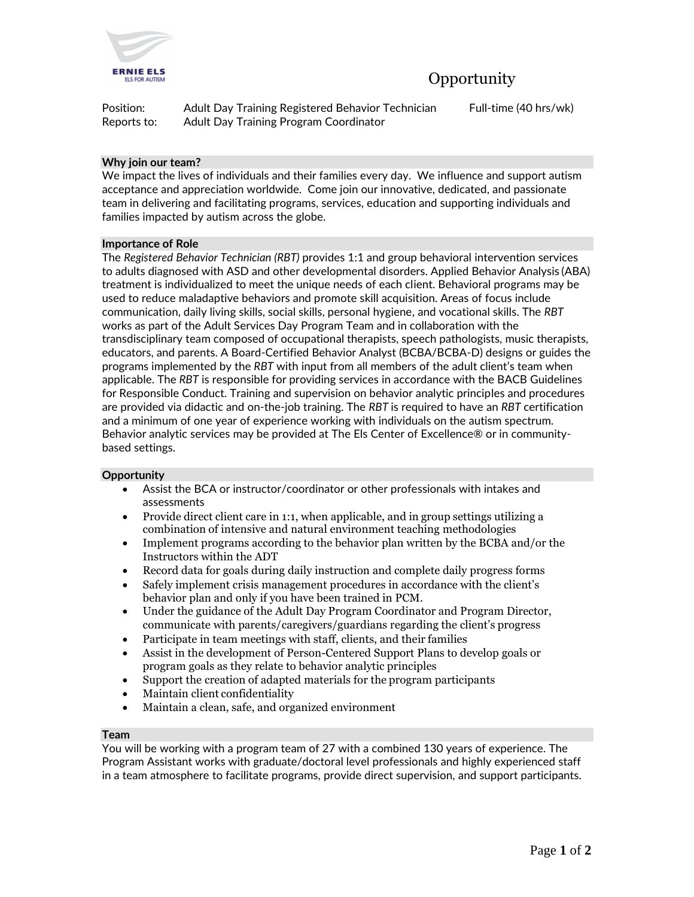

Position: Adult Day Training Registered Behavior Technician Full-time (40 hrs/wk) Reports to: Adult Day Training Program Coordinator

# **Why join our team?**

We impact the lives of individuals and their families every day. We influence and support autism acceptance and appreciation worldwide. Come join our innovative, dedicated, and passionate team in delivering and facilitating programs, services, education and supporting individuals and families impacted by autism across the globe.

### **Importance of Role**

The *Registered Behavior Technician (RBT)* provides 1:1 and group behavioral intervention services to adults diagnosed with ASD and other developmental disorders. Applied Behavior Analysis (ABA) treatment is individualized to meet the unique needs of each client. Behavioral programs may be used to reduce maladaptive behaviors and promote skill acquisition. Areas of focus include communication, daily living skills, social skills, personal hygiene, and vocational skills. The *RBT* works as part of the Adult Services Day Program Team and in collaboration with the transdisciplinary team composed of occupational therapists, speech pathologists, music therapists, educators, and parents. A Board-Certified Behavior Analyst (BCBA/BCBA-D) designs or guides the programs implemented by the *RBT* with input from all members of the adult client's team when applicable. The *RBT* is responsible for providing services in accordance with the BACB Guidelines for Responsible Conduct. Training and supervision on behavior analytic principles and procedures are provided via didactic and on-the-job training. The *RBT* is required to have an *RBT* certification and a minimum of one year of experience working with individuals on the autism spectrum. Behavior analytic services may be provided at The Els Center of Excellence® or in communitybased settings.

### **Opportunity**

- Assist the BCA or instructor/coordinator or other professionals with intakes and assessments
- Provide direct client care in 1:1, when applicable, and in group settings utilizing a combination of intensive and natural environment teaching methodologies
- Implement programs according to the behavior plan written by the BCBA and/or the Instructors within the ADT
- Record data for goals during daily instruction and complete daily progress forms
- Safely implement crisis management procedures in accordance with the client's behavior plan and only if you have been trained in PCM.
- Under the guidance of the Adult Day Program Coordinator and Program Director, communicate with parents/caregivers/guardians regarding the client's progress
- Participate in team meetings with staff, clients, and their families
- Assist in the development of Person-Centered Support Plans to develop goals or program goals as they relate to behavior analytic principles
- Support the creation of adapted materials for the program participants
- Maintain client confidentiality
- Maintain a clean, safe, and organized environment

### **Team**

You will be working with a program team of 27 with a combined 130 years of experience. The Program Assistant works with graduate/doctoral level professionals and highly experienced staff in a team atmosphere to facilitate programs, provide direct supervision, and support participants.